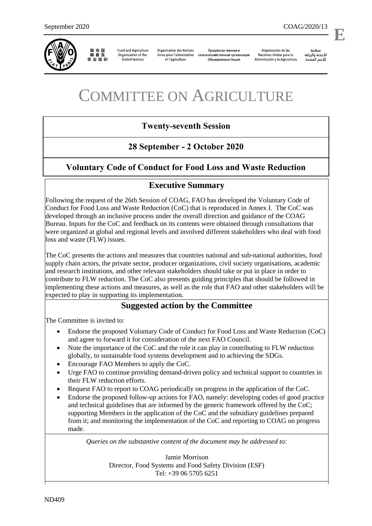

联合国<br>粮食及 农业组织

**Food and Agriculture** Organization of the **United Nations** 

**Organisation des Nations** Unies pour l'alimentation сельскохозяйственная организация et l'agriculture

Продовольственная и Объединенных Наций

Organización de las Naciones Unidas para la Alimentación y la Agricultura

ونظوة الأغذية والزراعة 

l,

**E**

# COMMITTEE ON AGRICULTURE

# **Twenty-seventh Session**

# **28 September - 2 October 2020**

# **Voluntary Code of Conduct for Food Loss and Waste Reduction**

# **Executive Summary**

Following the request of the 26th Session of COAG, FAO has developed the Voluntary Code of Conduct for Food Loss and Waste Reduction (CoC) that is reproduced in Annex I. The CoC was developed through an inclusive process under the overall direction and guidance of the COAG Bureau. Inputs for the CoC and feedback on its contents were obtained through consultations that were organized at global and regional levels and involved different stakeholders who deal with food loss and waste (FLW) issues.

The CoC presents the actions and measures that countries national and sub-national authorities, food supply chain actors, the private sector, producer organizations, civil society organisations, academic and research institutions, and other relevant stakeholders should take or put in place in order to contribute to FLW reduction. The CoC also presents guiding principles that should be followed in implementing these actions and measures, as well as the role that FAO and other stakeholders will be expected to play in supporting its implementation.

# **Suggested action by the Committee**

The Committee is invited to:

- Endorse the proposed Voluntary Code of Conduct for Food Loss and Waste Reduction (CoC) and agree to forward it for consideration of the next FAO Council.
- Note the importance of the CoC and the role it can play in contributing to FLW reduction globally, to sustainable food systems development and to achieving the SDGs.
- Encourage FAO Members to apply the CoC.
- Urge FAO to continue providing demand-driven policy and technical support to countries in their FLW reduction efforts.
- Request FAO to report to COAG periodically on progress in the application of the CoC.
- Endorse the proposed follow-up actions for FAO, namely: developing codes of good practice and technical guidelines that are informed by the generic framework offered by the CoC; supporting Members in the application of the CoC and the subsidiary guidelines prepared from it; and monitoring the implementation of the CoC and reporting to COAG on progress made.

*Queries on the substantive content of the document may be addressed to:*

Jamie Morrison Director, Food Systems and Food Safety Division (ESF) Tel: +39 06 5705 6251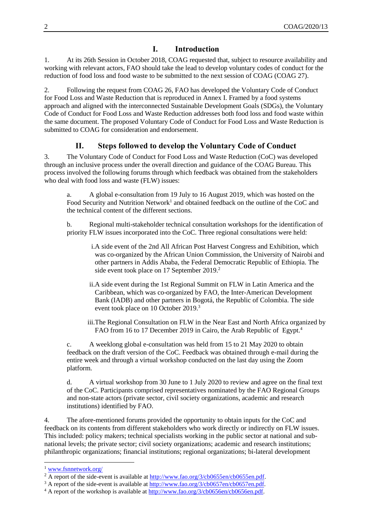# **I. Introduction**

1. At its 26th Session in October 2018, COAG requested that, subject to resource availability and working with relevant actors, FAO should take the lead to develop voluntary codes of conduct for the reduction of food loss and food waste to be submitted to the next session of COAG (COAG 27).

2. Following the request from COAG 26, FAO has developed the Voluntary Code of Conduct for Food Loss and Waste Reduction that is reproduced in Annex I. Framed by a food systems approach and aligned with the interconnected Sustainable Development Goals (SDGs), the Voluntary Code of Conduct for Food Loss and Waste Reduction addresses both food loss and food waste within the same document. The proposed Voluntary Code of Conduct for Food Loss and Waste Reduction is submitted to COAG for consideration and endorsement.

# **II. Steps followed to develop the Voluntary Code of Conduct**

3. The Voluntary Code of Conduct for Food Loss and Waste Reduction (CoC) was developed through an inclusive process under the overall direction and guidance of the COAG Bureau. This process involved the following forums through which feedback was obtained from the stakeholders who deal with food loss and waste (FLW) issues:

a. A global e-consultation from 19 July to 16 August 2019, which was hosted on the Food Security and Nutrition Network<sup>1</sup> and obtained feedback on the outline of the CoC and the technical content of the different sections.

b. Regional multi-stakeholder technical consultation workshops for the identification of priority FLW issues incorporated into the CoC. Three regional consultations were held:

- i.A side event of the 2nd All African Post Harvest Congress and Exhibition, which was co-organized by the African Union Commission, the University of Nairobi and other partners in Addis Ababa, the Federal Democratic Republic of Ethiopia. The side event took place on 17 September 2019. 2
- ii.A side event during the 1st Regional Summit on FLW in Latin America and the Caribbean, which was co-organized by FAO, the Inter-American Development Bank (IADB) and other partners in Bogotá, the Republic of Colombia. The side event took place on 10 October 2019. 3
- iii.The Regional Consultation on FLW in the Near East and North Africa organized by FAO from 16 to 17 December 2019 in Cairo, the Arab Republic of Egypt.<sup>4</sup>

c. A weeklong global e-consultation was held from 15 to 21 May 2020 to obtain feedback on the draft version of the CoC. Feedback was obtained through e-mail during the entire week and through a virtual workshop conducted on the last day using the Zoom platform.

d. A virtual workshop from 30 June to 1 July 2020 to review and agree on the final text of the CoC. Participants comprised representatives nominated by the FAO Regional Groups and non-state actors (private sector, civil society organizations, academic and research institutions) identified by FAO.

4. The afore-mentioned forums provided the opportunity to obtain inputs for the CoC and feedback on its contents from different stakeholders who work directly or indirectly on FLW issues. This included: policy makers; technical specialists working in the public sector at national and subnational levels; the private sector; civil society organizations; academic and research institutions; philanthropic organizations; financial institutions; regional organizations; bi-lateral development

l <sup>1</sup> [www.fsnnetwork.org/](http://www.fsnnetwork.org/)

 $2 \overline{A}$  report of the side-event is available at  $\frac{http://www.fao.org/3/cb0655en/cb0655en.pdf}{http://www.fao.org/3/cb0655en/cb0655en.pdf}.$ 

<sup>&</sup>lt;sup>3</sup> A report of the side-event is available at [http://www.fao.org/3/cb0657en/cb0657en.pdf.](http://www.fao.org/3/cb0657en/cb0657en.pdf)

<sup>&</sup>lt;sup>4</sup> A report of the workshop is available a[t http://www.fao.org/3/cb0656en/cb0656en.pdf.](http://www.fao.org/3/cb0656en/cb0656en.pdf)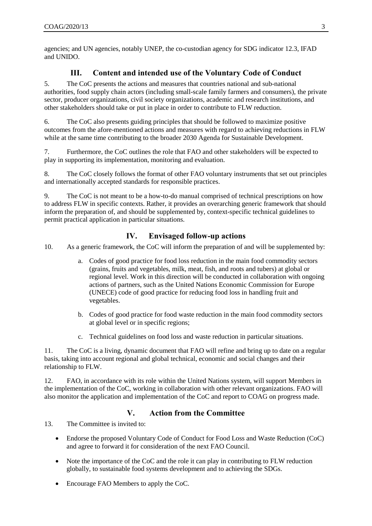agencies; and UN agencies, notably UNEP, the co-custodian agency for SDG indicator 12.3, IFAD and UNIDO.

## **III. Content and intended use of the Voluntary Code of Conduct**

5. The CoC presents the actions and measures that countries national and sub-national authorities, food supply chain actors (including small-scale family farmers and consumers), the private sector, producer organizations, civil society organizations, academic and research institutions, and other stakeholders should take or put in place in order to contribute to FLW reduction.

6. The CoC also presents guiding principles that should be followed to maximize positive outcomes from the afore-mentioned actions and measures with regard to achieving reductions in FLW while at the same time contributing to the broader 2030 Agenda for Sustainable Development.

7. Furthermore, the CoC outlines the role that FAO and other stakeholders will be expected to play in supporting its implementation, monitoring and evaluation.

8. The CoC closely follows the format of other FAO voluntary instruments that set out principles and internationally accepted standards for responsible practices.

9. The CoC is not meant to be a how-to-do manual comprised of technical prescriptions on how to address FLW in specific contexts. Rather, it provides an overarching generic framework that should inform the preparation of, and should be supplemented by, context-specific technical guidelines to permit practical application in particular situations.

## **IV. Envisaged follow-up actions**

10. As a generic framework, the CoC will inform the preparation of and will be supplemented by:

- a. Codes of good practice for food loss reduction in the main food commodity sectors (grains, fruits and vegetables, milk, meat, fish, and roots and tubers) at global or regional level. Work in this direction will be conducted in collaboration with ongoing actions of partners, such as the United Nations Economic Commission for Europe (UNECE) code of good practice for reducing food loss in handling fruit and vegetables.
- b. Codes of good practice for food waste reduction in the main food commodity sectors at global level or in specific regions;
- c. Technical guidelines on food loss and waste reduction in particular situations.

11. The CoC is a living, dynamic document that FAO will refine and bring up to date on a regular basis, taking into account regional and global technical, economic and social changes and their relationship to FLW.

12. FAO, in accordance with its role within the United Nations system, will support Members in the implementation of the CoC, working in collaboration with other relevant organizations. FAO will also monitor the application and implementation of the CoC and report to COAG on progress made.

## **V. Action from the Committee**

13. The Committee is invited to:

- Endorse the proposed Voluntary Code of Conduct for Food Loss and Waste Reduction (CoC) and agree to forward it for consideration of the next FAO Council.
- Note the importance of the CoC and the role it can play in contributing to FLW reduction globally, to sustainable food systems development and to achieving the SDGs.
- Encourage FAO Members to apply the CoC.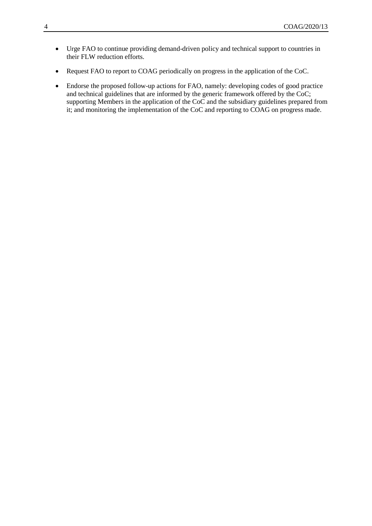- Urge FAO to continue providing demand-driven policy and technical support to countries in their FLW reduction efforts.
- Request FAO to report to COAG periodically on progress in the application of the CoC.
- Endorse the proposed follow-up actions for FAO, namely: developing codes of good practice and technical guidelines that are informed by the generic framework offered by the CoC; supporting Members in the application of the CoC and the subsidiary guidelines prepared from it; and monitoring the implementation of the CoC and reporting to COAG on progress made.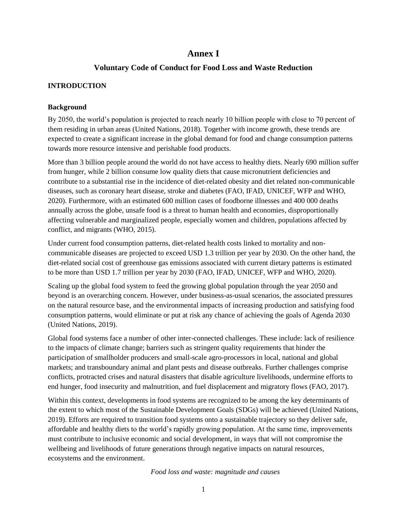## **Annex I**

## **Voluntary Code of Conduct for Food Loss and Waste Reduction**

#### **INTRODUCTION**

#### **Background**

By 2050, the world's population is projected to reach nearly 10 billion people with close to 70 percent of them residing in urban areas (United Nations, 2018). Together with income growth, these trends are expected to create a significant increase in the global demand for food and change consumption patterns towards more resource intensive and perishable food products.

More than 3 billion people around the world do not have access to healthy diets. Nearly 690 million suffer from hunger, while 2 billion consume low quality diets that cause micronutrient deficiencies and contribute to a substantial rise in the incidence of diet-related obesity and diet related non-communicable diseases, such as coronary heart disease, stroke and diabetes (FAO, IFAD, UNICEF, WFP and WHO, 2020). Furthermore, with an estimated 600 million cases of foodborne illnesses and 400 000 deaths annually across the globe, unsafe food is a threat to human health and economies, disproportionally affecting vulnerable and marginalized people, especially women and children, populations affected by conflict, and migrants (WHO, 2015).

Under current food consumption patterns, diet-related health costs linked to mortality and noncommunicable diseases are projected to exceed USD 1.3 trillion per year by 2030. On the other hand, the diet-related social cost of greenhouse gas emissions associated with current dietary patterns is estimated to be more than USD 1.7 trillion per year by 2030 (FAO, IFAD, UNICEF, WFP and WHO, 2020).

Scaling up the global food system to feed the growing global population through the year 2050 and beyond is an overarching concern. However, under business-as-usual scenarios, the associated pressures on the natural resource base, and the environmental impacts of increasing production and satisfying food consumption patterns, would eliminate or put at risk any chance of achieving the goals of Agenda 2030 (United Nations, 2019).

Global food systems face a number of other inter-connected challenges. These include: lack of resilience to the impacts of climate change; barriers such as stringent quality requirements that hinder the participation of smallholder producers and small-scale agro-processors in local, national and global markets; and transboundary animal and plant pests and disease outbreaks. Further challenges comprise conflicts, protracted crises and natural disasters that disable agriculture livelihoods, undermine efforts to end hunger, food insecurity and malnutrition, and fuel displacement and migratory flows (FAO, 2017).

Within this context, developments in food systems are recognized to be among the key determinants of the extent to which most of the Sustainable Development Goals (SDGs) will be achieved (United Nations, 2019). Efforts are required to transition food systems onto a sustainable trajectory so they deliver safe, affordable and healthy diets to the world's rapidly growing population. At the same time, improvements must contribute to inclusive economic and social development, in ways that will not compromise the wellbeing and livelihoods of future generations through negative impacts on natural resources, ecosystems and the environment.

*Food loss and waste: magnitude and causes*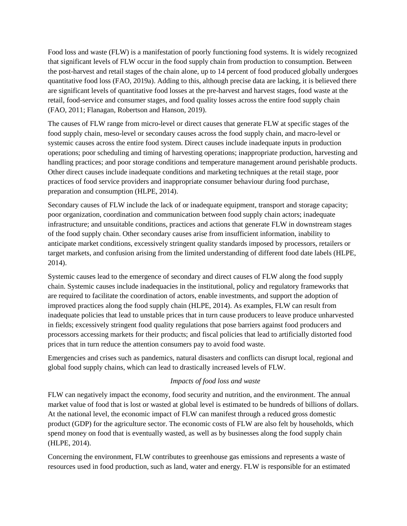Food loss and waste (FLW) is a manifestation of poorly functioning food systems. It is widely recognized that significant levels of FLW occur in the food supply chain from production to consumption. Between the post-harvest and retail stages of the chain alone, up to 14 percent of food produced globally undergoes quantitative food loss (FAO, 2019a). Adding to this, although precise data are lacking, it is believed there are significant levels of quantitative food losses at the pre-harvest and harvest stages, food waste at the retail, food-service and consumer stages, and food quality losses across the entire food supply chain (FAO, 2011; Flanagan, Robertson and Hanson, 2019).

The causes of FLW range from micro-level or direct causes that generate FLW at specific stages of the food supply chain, meso-level or secondary causes across the food supply chain, and macro-level or systemic causes across the entire food system. Direct causes include inadequate inputs in production operations; poor scheduling and timing of harvesting operations; inappropriate production, harvesting and handling practices; and poor storage conditions and temperature management around perishable products. Other direct causes include inadequate conditions and marketing techniques at the retail stage, poor practices of food service providers and inappropriate consumer behaviour during food purchase, preparation and consumption (HLPE, 2014).

Secondary causes of FLW include the lack of or inadequate equipment, transport and storage capacity; poor organization, coordination and communication between food supply chain actors; inadequate infrastructure; and unsuitable conditions, practices and actions that generate FLW in downstream stages of the food supply chain. Other secondary causes arise from insufficient information, inability to anticipate market conditions, excessively stringent quality standards imposed by processors, retailers or target markets, and confusion arising from the limited understanding of different food date labels (HLPE, 2014).

Systemic causes lead to the emergence of secondary and direct causes of FLW along the food supply chain. Systemic causes include inadequacies in the institutional, policy and regulatory frameworks that are required to facilitate the coordination of actors, enable investments, and support the adoption of improved practices along the food supply chain (HLPE, 2014). As examples, FLW can result from inadequate policies that lead to unstable prices that in turn cause producers to leave produce unharvested in fields; excessively stringent food quality regulations that pose barriers against food producers and processors accessing markets for their products; and fiscal policies that lead to artificially distorted food prices that in turn reduce the attention consumers pay to avoid food waste.

Emergencies and crises such as pandemics, natural disasters and conflicts can disrupt local, regional and global food supply chains, which can lead to drastically increased levels of FLW.

#### *Impacts of food loss and waste*

FLW can negatively impact the economy, food security and nutrition, and the environment. The annual market value of food that is lost or wasted at global level is estimated to be hundreds of billions of dollars. At the national level, the economic impact of FLW can manifest through a reduced gross domestic product (GDP) for the agriculture sector. The economic costs of FLW are also felt by households, which spend money on food that is eventually wasted, as well as by businesses along the food supply chain (HLPE, 2014).

Concerning the environment, FLW contributes to greenhouse gas emissions and represents a waste of resources used in food production, such as land, water and energy. FLW is responsible for an estimated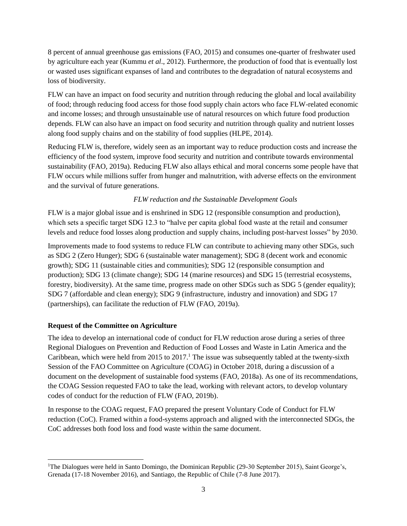8 percent of annual greenhouse gas emissions (FAO, 2015) and consumes one-quarter of freshwater used by agriculture each year (Kummu *et al*., 2012). Furthermore, the production of food that is eventually lost or wasted uses significant expanses of land and contributes to the degradation of natural ecosystems and loss of biodiversity.

FLW can have an impact on food security and nutrition through reducing the global and local availability of food; through reducing food access for those food supply chain actors who face FLW-related economic and income losses; and through unsustainable use of natural resources on which future food production depends. FLW can also have an impact on food security and nutrition through quality and nutrient losses along food supply chains and on the stability of food supplies (HLPE, 2014).

Reducing FLW is, therefore, widely seen as an important way to reduce production costs and increase the efficiency of the food system, improve food security and nutrition and contribute towards environmental sustainability (FAO, 2019a). Reducing FLW also allays ethical and moral concerns some people have that FLW occurs while millions suffer from hunger and malnutrition, with adverse effects on the environment and the survival of future generations.

## *FLW reduction and the Sustainable Development Goals*

FLW is a major global issue and is enshrined in SDG 12 (responsible consumption and production), which sets a specific target SDG 12.3 to "halve per capita global food waste at the retail and consumer levels and reduce food losses along production and supply chains, including post-harvest losses" by 2030.

Improvements made to food systems to reduce FLW can contribute to achieving many other SDGs, such as SDG 2 (Zero Hunger); SDG 6 (sustainable water management); SDG 8 (decent work and economic growth); SDG 11 (sustainable cities and communities); SDG 12 (responsible consumption and production); SDG 13 (climate change); SDG 14 (marine resources) and SDG 15 (terrestrial ecosystems, forestry, biodiversity). At the same time, progress made on other SDGs such as SDG 5 (gender equality); SDG 7 (affordable and clean energy); SDG 9 (infrastructure, industry and innovation) and SDG 17 (partnerships), can facilitate the reduction of FLW (FAO, 2019a).

#### **Request of the Committee on Agriculture**

l

The idea to develop an international code of conduct for FLW reduction arose during a series of three Regional Dialogues on Prevention and Reduction of Food Losses and Waste in Latin America and the Caribbean, which were held from 2015 to  $2017<sup>1</sup>$ . The issue was subsequently tabled at the twenty-sixth Session of the FAO Committee on Agriculture (COAG) in October 2018, during a discussion of a document on the development of sustainable food systems (FAO, 2018a). As one of its recommendations, the COAG Session requested FAO to take the lead, working with relevant actors, to develop voluntary codes of conduct for the reduction of FLW (FAO, 2019b).

In response to the COAG request, FAO prepared the present Voluntary Code of Conduct for FLW reduction (CoC). Framed within a food-systems approach and aligned with the interconnected SDGs, the CoC addresses both food loss and food waste within the same document.

<sup>&</sup>lt;sup>1</sup>The Dialogues were held in Santo Domingo, the Dominican Republic (29-30 September 2015), Saint George's, Grenada (17-18 November 2016), and Santiago, the Republic of Chile (7-8 June 2017).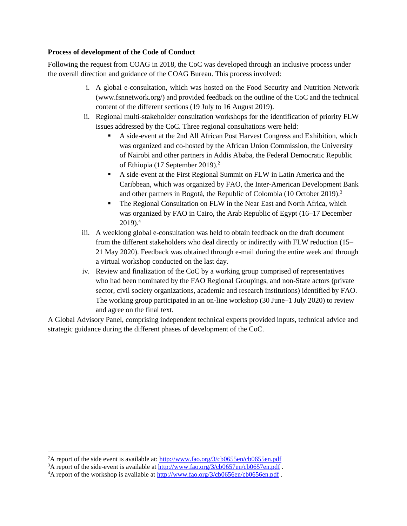#### **Process of development of the Code of Conduct**

Following the request from COAG in 2018, the CoC was developed through an inclusive process under the overall direction and guidance of the COAG Bureau. This process involved:

- i. A global e-consultation, which was hosted on the Food Security and Nutrition Network (www.fsnnetwork.org/) and provided feedback on the outline of the CoC and the technical content of the different sections (19 July to 16 August 2019).
- ii. Regional multi-stakeholder consultation workshops for the identification of priority FLW issues addressed by the CoC. Three regional consultations were held:
	- A side-event at the 2nd All African Post Harvest Congress and Exhibition, which was organized and co-hosted by the African Union Commission, the University of Nairobi and other partners in Addis Ababa, the Federal Democratic Republic of Ethiopia (17 September 2019).<sup>2</sup>
	- A side-event at the First Regional Summit on FLW in Latin America and the Caribbean, which was organized by FAO, the Inter-American Development Bank and other partners in Bogotá, the Republic of Colombia (10 October 2019).<sup>3</sup>
	- The Regional Consultation on FLW in the Near East and North Africa, which was organized by FAO in Cairo, the Arab Republic of Egypt (16–17 December  $2019$ .<sup>4</sup>
- iii. A weeklong global e-consultation was held to obtain feedback on the draft document from the different stakeholders who deal directly or indirectly with FLW reduction (15– 21 May 2020). Feedback was obtained through e-mail during the entire week and through a virtual workshop conducted on the last day.
- iv. Review and finalization of the CoC by a working group comprised of representatives who had been nominated by the FAO Regional Groupings, and non-State actors (private sector, civil society organizations, academic and research institutions) identified by FAO. The working group participated in an on-line workshop (30 June–1 July 2020) to review and agree on the final text.

A Global Advisory Panel, comprising independent technical experts provided inputs, technical advice and strategic guidance during the different phases of development of the CoC.

l

<sup>&</sup>lt;sup>2</sup>A report of the side event is available at:<http://www.fao.org/3/cb0655en/cb0655en.pdf>

<sup>&</sup>lt;sup>3</sup>A report of the side-event is available at<http://www.fao.org/3/cb0657en/cb0657en.pdf>.

<sup>&</sup>lt;sup>4</sup>A report of the workshop is available at<http://www.fao.org/3/cb0656en/cb0656en.pdf>.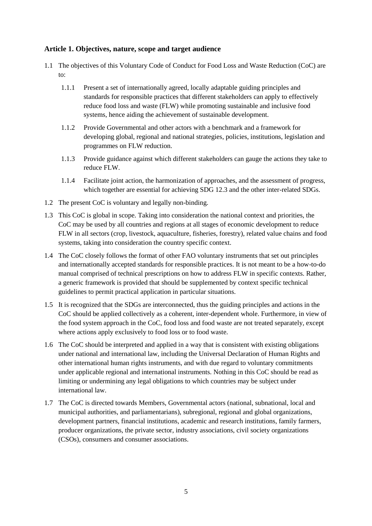#### **Article 1. Objectives, nature, scope and target audience**

- 1.1 The objectives of this Voluntary Code of Conduct for Food Loss and Waste Reduction (CoC) are to:
	- 1.1.1 Present a set of internationally agreed, locally adaptable guiding principles and standards for responsible practices that different stakeholders can apply to effectively reduce food loss and waste (FLW) while promoting sustainable and inclusive food systems, hence aiding the achievement of sustainable development.
	- 1.1.2 Provide Governmental and other actors with a benchmark and a framework for developing global, regional and national strategies, policies, institutions, legislation and programmes on FLW reduction.
	- 1.1.3 Provide guidance against which different stakeholders can gauge the actions they take to reduce FLW.
	- 1.1.4 Facilitate joint action, the harmonization of approaches, and the assessment of progress, which together are essential for achieving SDG 12.3 and the other inter-related SDGs.
- 1.2 The present CoC is voluntary and legally non-binding.
- 1.3 This CoC is global in scope. Taking into consideration the national context and priorities, the CoC may be used by all countries and regions at all stages of economic development to reduce FLW in all sectors (crop, livestock, aquaculture, fisheries, forestry), related value chains and food systems, taking into consideration the country specific context.
- 1.4 The CoC closely follows the format of other FAO voluntary instruments that set out principles and internationally accepted standards for responsible practices. It is not meant to be a how-to-do manual comprised of technical prescriptions on how to address FLW in specific contexts. Rather, a generic framework is provided that should be supplemented by context specific technical guidelines to permit practical application in particular situations.
- 1.5 It is recognized that the SDGs are interconnected, thus the guiding principles and actions in the CoC should be applied collectively as a coherent, inter-dependent whole. Furthermore, in view of the food system approach in the CoC, food loss and food waste are not treated separately, except where actions apply exclusively to food loss or to food waste.
- 1.6 The CoC should be interpreted and applied in a way that is consistent with existing obligations under national and international law, including the Universal Declaration of Human Rights and other international human rights instruments, and with due regard to voluntary commitments under applicable regional and international instruments. Nothing in this CoC should be read as limiting or undermining any legal obligations to which countries may be subject under international law.
- 1.7 The CoC is directed towards Members, Governmental actors (national, subnational, local and municipal authorities, and parliamentarians), subregional, regional and global organizations, development partners, financial institutions, academic and research institutions, family farmers, producer organizations, the private sector, industry associations, civil society organizations (CSOs), consumers and consumer associations.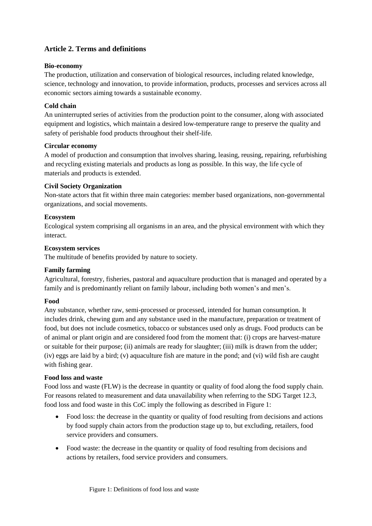## **Article 2. Terms and definitions**

#### **Bio-economy**

The production, utilization and conservation of biological resources, including related knowledge, science, technology and innovation, to provide information, products, processes and services across all economic sectors aiming towards a sustainable economy.

#### **Cold chain**

An uninterrupted series of activities from the production point to the consumer, along with associated equipment and logistics, which maintain a desired low-temperature range to preserve the quality and safety of perishable food products throughout their shelf-life.

#### **Circular economy**

A model of production and consumption that involves sharing, leasing, reusing, repairing, refurbishing and recycling existing materials and products as long as possible. In this way, the life cycle of materials and products is extended.

#### **Civil Society Organization**

Non-state actors that fit within three main categories: member based organizations, non-governmental organizations, and social movements.

#### **Ecosystem**

Ecological system comprising all organisms in an area, and the physical environment with which they interact.

#### **Ecosystem services**

The multitude of benefits provided by nature to society.

#### **Family farming**

Agricultural, forestry, fisheries, pastoral and aquaculture production that is managed and operated by a family and is predominantly reliant on family labour, including both women's and men's.

#### **Food**

Any substance, whether raw, semi-processed or processed, intended for human consumption. It includes drink, chewing gum and any substance used in the manufacture, preparation or treatment of food, but does not include cosmetics, tobacco or substances used only as drugs. Food products can be of animal or plant origin and are considered food from the moment that: (i) crops are harvest-mature or suitable for their purpose; (ii) animals are ready for slaughter; (iii) milk is drawn from the udder; (iv) eggs are laid by a bird; (v) aquaculture fish are mature in the pond; and (vi) wild fish are caught with fishing gear.

#### **Food loss and waste**

Food loss and waste (FLW) is the decrease in quantity or quality of food along the food supply chain. For reasons related to measurement and data unavailability when referring to the SDG Target 12.3, food loss and food waste in this CoC imply the following as described in Figure 1:

- Food loss: the decrease in the quantity or quality of food resulting from decisions and actions by food supply chain actors from the production stage up to, but excluding, retailers, food service providers and consumers.
- Food waste: the decrease in the quantity or quality of food resulting from decisions and actions by retailers, food service providers and consumers.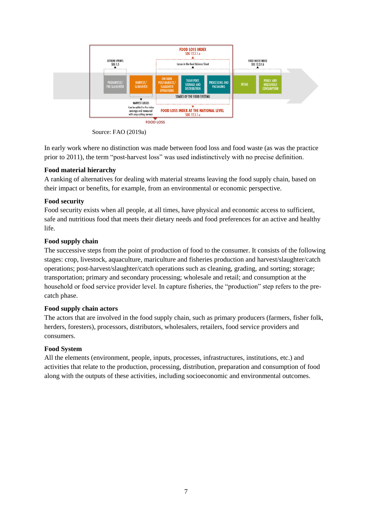

Source: FAO (2019a)

In early work where no distinction was made between food loss and food waste (as was the practice prior to 2011), the term "post-harvest loss" was used indistinctively with no precise definition.

#### **Food material hierarchy**

A ranking of alternatives for dealing with material streams leaving the food supply chain, based on their impact or benefits, for example, from an environmental or economic perspective.

## **Food security**

Food security exists when all people, at all times, have physical and economic access to sufficient, safe and nutritious food that meets their dietary needs and food preferences for an active and healthy life.

## **Food supply chain**

The successive steps from the point of production of food to the consumer. It consists of the following stages: crop, livestock, aquaculture, mariculture and fisheries production and harvest/slaughter/catch operations; post-harvest/slaughter/catch operations such as cleaning, grading, and sorting; storage; transportation; primary and secondary processing; wholesale and retail; and consumption at the household or food service provider level. In capture fisheries, the "production" step refers to the precatch phase.

#### **Food supply chain actors**

The actors that are involved in the food supply chain, such as primary producers (farmers, fisher folk, herders, foresters), processors, distributors, wholesalers, retailers, food service providers and consumers.

## **Food System**

All the elements (environment, people, inputs, processes, infrastructures, institutions, etc.) and activities that relate to the production, processing, distribution, preparation and consumption of food along with the outputs of these activities, including socioeconomic and environmental outcomes.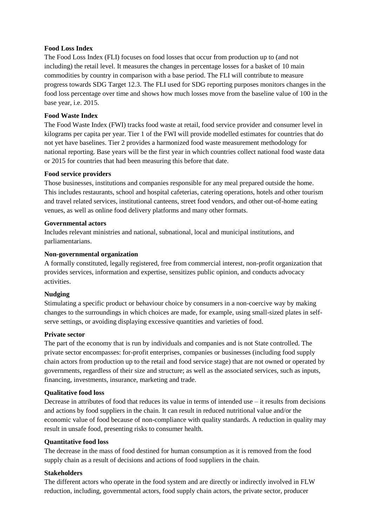#### **Food Loss Index**

The Food Loss Index (FLI) focuses on food losses that occur from production up to (and not including) the retail level. It measures the changes in percentage losses for a basket of 10 main commodities by country in comparison with a base period. The FLI will contribute to measure progress towards SDG Target 12.3. The FLI used for SDG reporting purposes monitors changes in the food loss percentage over time and shows how much losses move from the baseline value of 100 in the base year, i.e. 2015.

#### **Food Waste Index**

The Food Waste Index (FWI) tracks food waste at retail, food service provider and consumer level in kilograms per capita per year. Tier 1 of the FWI will provide modelled estimates for countries that do not yet have baselines. Tier 2 provides a harmonized food waste measurement methodology for national reporting. Base years will be the first year in which countries collect national food waste data or 2015 for countries that had been measuring this before that date.

#### **Food service providers**

Those businesses, institutions and companies responsible for any meal prepared outside the home. This includes restaurants, school and hospital cafeterias, catering operations, hotels and other tourism and travel related services, institutional canteens, street food vendors, and other out-of-home eating venues, as well as online food delivery platforms and many other formats.

#### **Governmental actors**

Includes relevant ministries and national, subnational, local and municipal institutions, and parliamentarians.

#### **Non-governmental organization**

A formally constituted, legally registered, free from commercial interest, non-profit organization that provides services, information and expertise, sensitizes public opinion, and conducts advocacy activities.

#### **Nudging**

Stimulating a specific product or behaviour choice by consumers in a non-coercive way by making changes to the surroundings in which choices are made, for example, using small-sized plates in selfserve settings, or avoiding displaying excessive quantities and varieties of food.

#### **Private sector**

The part of the economy that is run by individuals and companies and is not State controlled. The private sector encompasses: for-profit enterprises, companies or businesses (including food supply chain actors from production up to the retail and food service stage) that are not owned or operated by governments, regardless of their size and structure; as well as the associated services, such as inputs, financing, investments, insurance, marketing and trade.

#### **Qualitative food loss**

Decrease in attributes of food that reduces its value in terms of intended use – it results from decisions and actions by food suppliers in the chain. It can result in reduced nutritional value and/or the economic value of food because of non-compliance with quality standards. A reduction in quality may result in unsafe food, presenting risks to consumer health.

#### **Quantitative food loss**

The decrease in the mass of food destined for human consumption as it is removed from the food supply chain as a result of decisions and actions of food suppliers in the chain.

#### **Stakeholders**

The different actors who operate in the food system and are directly or indirectly involved in FLW reduction, including, governmental actors, food supply chain actors, the private sector, producer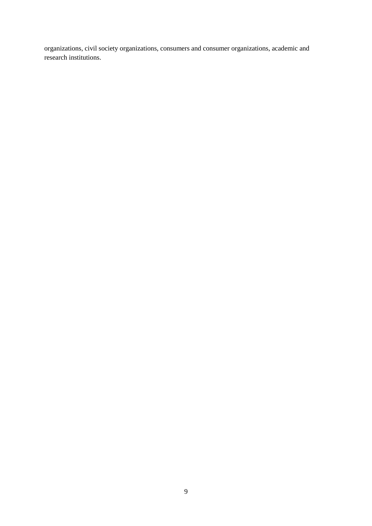organizations, civil society organizations, consumers and consumer organizations, academic and research institutions.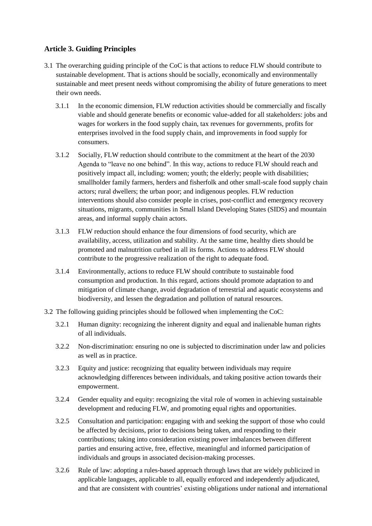## **Article 3. Guiding Principles**

- 3.1 The overarching guiding principle of the CoC is that actions to reduce FLW should contribute to sustainable development. That is actions should be socially, economically and environmentally sustainable and meet present needs without compromising the ability of future generations to meet their own needs.
	- 3.1.1 In the economic dimension, FLW reduction activities should be commercially and fiscally viable and should generate benefits or economic value-added for all stakeholders: jobs and wages for workers in the food supply chain, tax revenues for governments, profits for enterprises involved in the food supply chain, and improvements in food supply for consumers.
	- 3.1.2 Socially, FLW reduction should contribute to the commitment at the heart of the 2030 Agenda to "leave no one behind". In this way, actions to reduce FLW should reach and positively impact all, including: women; youth; the elderly; people with disabilities; smallholder family farmers, herders and fisherfolk and other small-scale food supply chain actors; rural dwellers; the urban poor; and indigenous peoples. FLW reduction interventions should also consider people in crises, post-conflict and emergency recovery situations, migrants, communities in Small Island Developing States (SIDS) and mountain areas, and informal supply chain actors.
	- 3.1.3 FLW reduction should enhance the four dimensions of food security, which are availability, access, utilization and stability. At the same time, healthy diets should be promoted and malnutrition curbed in all its forms. Actions to address FLW should contribute to the progressive realization of the right to adequate food.
	- 3.1.4 Environmentally, actions to reduce FLW should contribute to sustainable food consumption and production. In this regard, actions should promote adaptation to and mitigation of climate change, avoid degradation of terrestrial and aquatic ecosystems and biodiversity, and lessen the degradation and pollution of natural resources.
- 3.2 The following guiding principles should be followed when implementing the CoC:
	- 3.2.1 Human dignity: recognizing the inherent dignity and equal and inalienable human rights of all individuals.
	- 3.2.2 Non-discrimination: ensuring no one is subjected to discrimination under law and policies as well as in practice.
	- 3.2.3 Equity and justice: recognizing that equality between individuals may require acknowledging differences between individuals, and taking positive action towards their empowerment.
	- 3.2.4 Gender equality and equity: recognizing the vital role of women in achieving sustainable development and reducing FLW, and promoting equal rights and opportunities.
	- 3.2.5 Consultation and participation: engaging with and seeking the support of those who could be affected by decisions, prior to decisions being taken, and responding to their contributions; taking into consideration existing power imbalances between different parties and ensuring active, free, effective, meaningful and informed participation of individuals and groups in associated decision-making processes.
	- 3.2.6 Rule of law: adopting a rules-based approach through laws that are widely publicized in applicable languages, applicable to all, equally enforced and independently adjudicated, and that are consistent with countries' existing obligations under national and international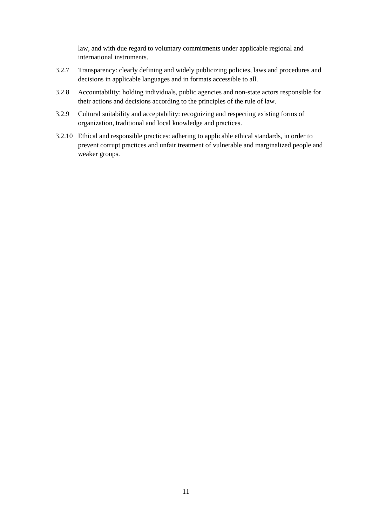law, and with due regard to voluntary commitments under applicable regional and international instruments.

- 3.2.7 Transparency: clearly defining and widely publicizing policies, laws and procedures and decisions in applicable languages and in formats accessible to all.
- 3.2.8 Accountability: holding individuals, public agencies and non-state actors responsible for their actions and decisions according to the principles of the rule of law.
- 3.2.9 Cultural suitability and acceptability: recognizing and respecting existing forms of organization, traditional and local knowledge and practices.
- 3.2.10 Ethical and responsible practices: adhering to applicable ethical standards, in order to prevent corrupt practices and unfair treatment of vulnerable and marginalized people and weaker groups.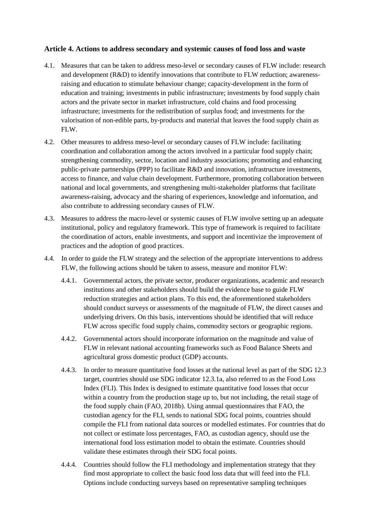## **Article 4. Actions to address secondary and systemic causes of food loss and waste**

- 4.1. Measures that can be taken to address meso-level or secondary causes of FLW include: research and development (R&D) to identify innovations that contribute to FLW reduction; awarenessraising and education to stimulate behaviour change; capacity-development in the form of education and training; investments in public infrastructure; investments by food supply chain actors and the private sector in market infrastructure, cold chains and food processing infrastructure; investments for the redistribution of surplus food; and investments for the valorisation of non-edible parts, by-products and material that leaves the food supply chain as FLW.
- 4.2. Other measures to address meso-level or secondary causes of FLW include: facilitating coordination and collaboration among the actors involved in a particular food supply chain; strengthening commodity, sector, location and industry associations; promoting and enhancing public-private partnerships (PPP) to facilitate R&D and innovation, infrastructure investments, access to finance, and value chain development. Furthermore, promoting collaboration between national and local governments, and strengthening multi-stakeholder platforms that facilitate awareness-raising, advocacy and the sharing of experiences, knowledge and information, and also contribute to addressing secondary causes of FLW.
- 4.3. Measures to address the macro-level or systemic causes of FLW involve setting up an adequate institutional, policy and regulatory framework. This type of framework is required to facilitate the coordination of actors, enable investments, and support and incentivize the improvement of practices and the adoption of good practices.
- 4.4. In order to guide the FLW strategy and the selection of the appropriate interventions to address FLW, the following actions should be taken to assess, measure and monitor FLW:
	- 4.4.1. Governmental actors, the private sector, producer organizations, academic and research institutions and other stakeholders should build the evidence base to guide FLW reduction strategies and action plans. To this end, the aforementioned stakeholders should conduct surveys or assessments of the magnitude of FLW, the direct causes and underlying drivers. On this basis, interventions should be identified that will reduce FLW across specific food supply chains, commodity sectors or geographic regions.
	- 4.4.2. Governmental actors should incorporate information on the magnitude and value of FLW in relevant national accounting frameworks such as Food Balance Sheets and agricultural gross domestic product (GDP) accounts.
	- 4.4.3. In order to measure quantitative food losses at the national level as part of the SDG 12.3 target, countries should use SDG indicator 12.3.1a, also referred to as the Food Loss Index (FLI). This Index is designed to estimate quantitative food losses that occur within a country from the production stage up to, but not including, the retail stage of the food supply chain (FAO, 2018b). Using annual questionnaires that FAO, the custodian agency for the FLI, sends to national SDG focal points, countries should compile the FLI from national data sources or modelled estimates. For countries that do not collect or estimate loss percentages, FAO, as custodian agency, should use the international food loss estimation model to obtain the estimate. Countries should validate these estimates through their SDG focal points.
	- 4.4.4. Countries should follow the FLI methodology and implementation strategy that they find most appropriate to collect the basic food loss data that will feed into the FLI. Options include conducting surveys based on representative sampling techniques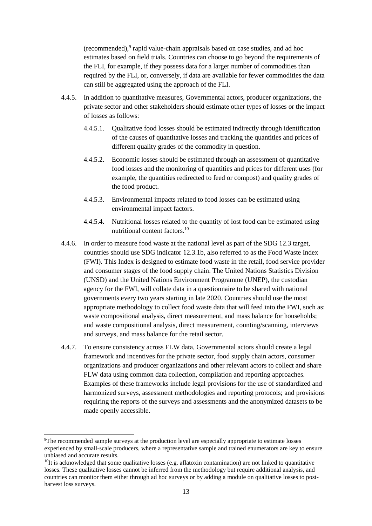(recommended),<sup>9</sup> rapid value-chain appraisals based on case studies, and ad hoc estimates based on field trials. Countries can choose to go beyond the requirements of the FLI, for example, if they possess data for a larger number of commodities than required by the FLI, or, conversely, if data are available for fewer commodities the data can still be aggregated using the approach of the FLI.

- 4.4.5. In addition to quantitative measures, Governmental actors, producer organizations, the private sector and other stakeholders should estimate other types of losses or the impact of losses as follows:
	- 4.4.5.1. Qualitative food losses should be estimated indirectly through identification of the causes of quantitative losses and tracking the quantities and prices of different quality grades of the commodity in question.
	- 4.4.5.2. Economic losses should be estimated through an assessment of quantitative food losses and the monitoring of quantities and prices for different uses (for example, the quantities redirected to feed or compost) and quality grades of the food product.
	- 4.4.5.3. Environmental impacts related to food losses can be estimated using environmental impact factors.
	- 4.4.5.4. Nutritional losses related to the quantity of lost food can be estimated using nutritional content factors.<sup>10</sup>
- 4.4.6. In order to measure food waste at the national level as part of the SDG 12.3 target, countries should use SDG indicator 12.3.1b, also referred to as the Food Waste Index (FWI). This Index is designed to estimate food waste in the retail, food service provider and consumer stages of the food supply chain. The United Nations Statistics Division (UNSD) and the United Nations Environment Programme (UNEP), the custodian agency for the FWI, will collate data in a questionnaire to be shared with national governments every two years starting in late 2020. Countries should use the most appropriate methodology to collect food waste data that will feed into the FWI, such as: waste compositional analysis, direct measurement, and mass balance for households; and waste compositional analysis, direct measurement, counting/scanning, interviews and surveys, and mass balance for the retail sector.
- 4.4.7. To ensure consistency across FLW data, Governmental actors should create a legal framework and incentives for the private sector, food supply chain actors, consumer organizations and producer organizations and other relevant actors to collect and share FLW data using common data collection, compilation and reporting approaches. Examples of these frameworks include legal provisions for the use of standardized and harmonized surveys, assessment methodologies and reporting protocols; and provisions requiring the reports of the surveys and assessments and the anonymized datasets to be made openly accessible.

 $\overline{a}$ 

<sup>9</sup>The recommended sample surveys at the production level are especially appropriate to estimate losses experienced by small-scale producers, where a representative sample and trained enumerators are key to ensure unbiased and accurate results.

 $10$ It is acknowledged that some qualitative losses (e.g. aflatoxin contamination) are not linked to quantitative losses. These qualitative losses cannot be inferred from the methodology but require additional analysis, and countries can monitor them either through ad hoc surveys or by adding a module on qualitative losses to postharvest loss surveys.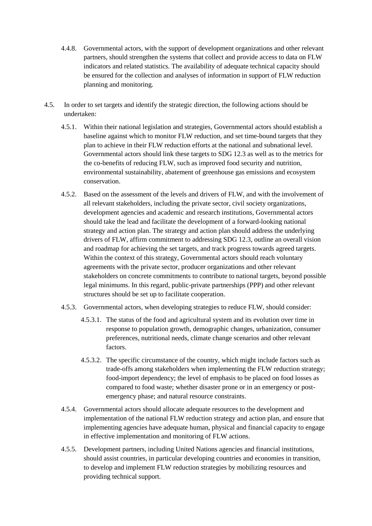- 4.4.8. Governmental actors, with the support of development organizations and other relevant partners, should strengthen the systems that collect and provide access to data on FLW indicators and related statistics. The availability of adequate technical capacity should be ensured for the collection and analyses of information in support of FLW reduction planning and monitoring.
- 4.5. In order to set targets and identify the strategic direction, the following actions should be undertaken:
	- 4.5.1. Within their national legislation and strategies, Governmental actors should establish a baseline against which to monitor FLW reduction, and set time-bound targets that they plan to achieve in their FLW reduction efforts at the national and subnational level. Governmental actors should link these targets to SDG 12.3 as well as to the metrics for the co-benefits of reducing FLW, such as improved food security and nutrition, environmental sustainability, abatement of greenhouse gas emissions and ecosystem conservation.
	- 4.5.2. Based on the assessment of the levels and drivers of FLW, and with the involvement of all relevant stakeholders, including the private sector, civil society organizations, development agencies and academic and research institutions, Governmental actors should take the lead and facilitate the development of a forward-looking national strategy and action plan. The strategy and action plan should address the underlying drivers of FLW, affirm commitment to addressing SDG 12.3, outline an overall vision and roadmap for achieving the set targets, and track progress towards agreed targets. Within the context of this strategy, Governmental actors should reach voluntary agreements with the private sector, producer organizations and other relevant stakeholders on concrete commitments to contribute to national targets, beyond possible legal minimums. In this regard, public-private partnerships (PPP) and other relevant structures should be set up to facilitate cooperation.
	- 4.5.3. Governmental actors, when developing strategies to reduce FLW, should consider:
		- 4.5.3.1. The status of the food and agricultural system and its evolution over time in response to population growth, demographic changes, urbanization, consumer preferences, nutritional needs, climate change scenarios and other relevant factors.
		- 4.5.3.2. The specific circumstance of the country, which might include factors such as trade-offs among stakeholders when implementing the FLW reduction strategy; food-import dependency; the level of emphasis to be placed on food losses as compared to food waste; whether disaster prone or in an emergency or postemergency phase; and natural resource constraints.
	- 4.5.4. Governmental actors should allocate adequate resources to the development and implementation of the national FLW reduction strategy and action plan, and ensure that implementing agencies have adequate human, physical and financial capacity to engage in effective implementation and monitoring of FLW actions.
	- 4.5.5. Development partners, including United Nations agencies and financial institutions, should assist countries, in particular developing countries and economies in transition, to develop and implement FLW reduction strategies by mobilizing resources and providing technical support.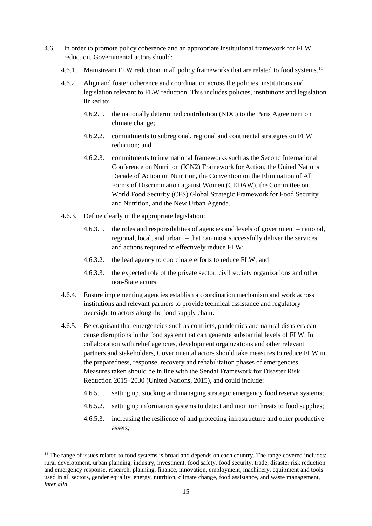- 4.6. In order to promote policy coherence and an appropriate institutional framework for FLW reduction, Governmental actors should:
	- 4.6.1. Mainstream FLW reduction in all policy frameworks that are related to food systems.<sup>11</sup>
	- 4.6.2. Align and foster coherence and coordination across the policies, institutions and legislation relevant to FLW reduction. This includes policies, institutions and legislation linked to:
		- 4.6.2.1. the nationally determined contribution (NDC) to the Paris Agreement on climate change;
		- 4.6.2.2. commitments to subregional, regional and continental strategies on FLW reduction; and
		- 4.6.2.3. commitments to international frameworks such as the Second International Conference on Nutrition (ICN2) Framework for Action, the United Nations Decade of Action on Nutrition, the Convention on the Elimination of All Forms of Discrimination against Women (CEDAW), the Committee on World Food Security (CFS) Global Strategic Framework for Food Security and Nutrition, and the New Urban Agenda.
	- 4.6.3. Define clearly in the appropriate legislation:

 $\overline{a}$ 

- 4.6.3.1. the roles and responsibilities of agencies and levels of government national, regional, local, and urban – that can most successfully deliver the services and actions required to effectively reduce FLW;
- 4.6.3.2. the lead agency to coordinate efforts to reduce FLW; and
- 4.6.3.3. the expected role of the private sector, civil society organizations and other non-State actors.
- 4.6.4. Ensure implementing agencies establish a coordination mechanism and work across institutions and relevant partners to provide technical assistance and regulatory oversight to actors along the food supply chain.
- 4.6.5. Be cognisant that emergencies such as conflicts, pandemics and natural disasters can cause disruptions in the food system that can generate substantial levels of FLW. In collaboration with relief agencies, development organizations and other relevant partners and stakeholders, Governmental actors should take measures to reduce FLW in the preparedness, response, recovery and rehabilitation phases of emergencies. Measures taken should be in line with the Sendai Framework for Disaster Risk Reduction 2015–2030 (United Nations, 2015), and could include:
	- 4.6.5.1. setting up, stocking and managing strategic emergency food reserve systems;
	- 4.6.5.2. setting up information systems to detect and monitor threats to food supplies;
	- 4.6.5.3. increasing the resilience of and protecting infrastructure and other productive assets;

 $11$  The range of issues related to food systems is broad and depends on each country. The range covered includes: rural development, urban planning, industry, investment, food safety, food security, trade, disaster risk reduction and emergency response, research, planning, finance, innovation, employment, machinery, equipment and tools used in all sectors, gender equality, energy, nutrition, climate change, food assistance, and waste management, *inter alia.*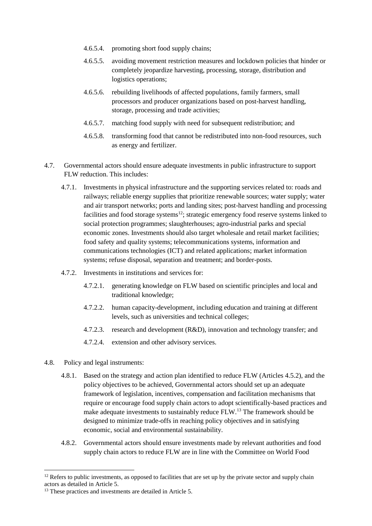- 4.6.5.4. promoting short food supply chains;
- 4.6.5.5. avoiding movement restriction measures and lockdown policies that hinder or completely jeopardize harvesting, processing, storage, distribution and logistics operations;
- 4.6.5.6. rebuilding livelihoods of affected populations, family farmers, small processors and producer organizations based on post-harvest handling, storage, processing and trade activities;
- 4.6.5.7. matching food supply with need for subsequent redistribution; and
- 4.6.5.8. transforming food that cannot be redistributed into non-food resources, such as energy and fertilizer.
- 4.7. Governmental actors should ensure adequate investments in public infrastructure to support FLW reduction. This includes:
	- 4.7.1. Investments in physical infrastructure and the supporting services related to: roads and railways; reliable energy supplies that prioritize renewable sources; water supply; water and air transport networks; ports and landing sites; post-harvest handling and processing facilities and food storage systems<sup>12</sup>; strategic emergency food reserve systems linked to social protection programmes; slaughterhouses; agro-industrial parks and special economic zones. Investments should also target wholesale and retail market facilities; food safety and quality systems; telecommunications systems, information and communications technologies (ICT) and related applications; market information systems; refuse disposal, separation and treatment; and border-posts.
	- 4.7.2. Investments in institutions and services for:
		- 4.7.2.1. generating knowledge on FLW based on scientific principles and local and traditional knowledge;
		- 4.7.2.2. human capacity-development, including education and training at different levels, such as universities and technical colleges;
		- 4.7.2.3. research and development (R&D), innovation and technology transfer; and
		- 4.7.2.4. extension and other advisory services.
- 4.8. Policy and legal instruments:

l

- 4.8.1. Based on the strategy and action plan identified to reduce FLW (Articles 4.5.2), and the policy objectives to be achieved, Governmental actors should set up an adequate framework of legislation, incentives, compensation and facilitation mechanisms that require or encourage food supply chain actors to adopt scientifically-based practices and make adequate investments to sustainably reduce FLW.<sup>13</sup> The framework should be designed to minimize trade-offs in reaching policy objectives and in satisfying economic, social and environmental sustainability.
- 4.8.2. Governmental actors should ensure investments made by relevant authorities and food supply chain actors to reduce FLW are in line with the Committee on World Food

 $12$  Refers to public investments, as opposed to facilities that are set up by the private sector and supply chain actors as detailed in Article 5.

<sup>&</sup>lt;sup>13</sup> These practices and investments are detailed in Article 5.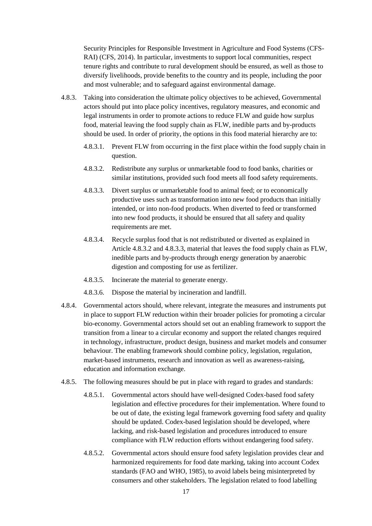Security Principles for Responsible Investment in Agriculture and Food Systems (CFS-RAI) (CFS, 2014). In particular, investments to support local communities, respect tenure rights and contribute to rural development should be ensured, as well as those to diversify livelihoods, provide benefits to the country and its people, including the poor and most vulnerable; and to safeguard against environmental damage.

- 4.8.3. Taking into consideration the ultimate policy objectives to be achieved, Governmental actors should put into place policy incentives, regulatory measures, and economic and legal instruments in order to promote actions to reduce FLW and guide how surplus food, material leaving the food supply chain as FLW, inedible parts and by-products should be used. In order of priority, the options in this food material hierarchy are to:
	- 4.8.3.1. Prevent FLW from occurring in the first place within the food supply chain in question.
	- 4.8.3.2. Redistribute any surplus or unmarketable food to food banks, charities or similar institutions, provided such food meets all food safety requirements.
	- 4.8.3.3. Divert surplus or unmarketable food to animal feed; or to economically productive uses such as transformation into new food products than initially intended, or into non-food products. When diverted to feed or transformed into new food products, it should be ensured that all safety and quality requirements are met.
	- 4.8.3.4. Recycle surplus food that is not redistributed or diverted as explained in Article 4.8.3.2 and 4.8.3.3, material that leaves the food supply chain as FLW, inedible parts and by-products through energy generation by anaerobic digestion and composting for use as fertilizer.
	- 4.8.3.5. Incinerate the material to generate energy.
	- 4.8.3.6. Dispose the material by incineration and landfill.
- 4.8.4. Governmental actors should, where relevant, integrate the measures and instruments put in place to support FLW reduction within their broader policies for promoting a circular bio-economy. Governmental actors should set out an enabling framework to support the transition from a linear to a circular economy and support the related changes required in technology, infrastructure, product design, business and market models and consumer behaviour. The enabling framework should combine policy, legislation, regulation, market-based instruments, research and innovation as well as awareness-raising, education and information exchange.
- 4.8.5. The following measures should be put in place with regard to grades and standards:
	- 4.8.5.1. Governmental actors should have well-designed Codex-based food safety legislation and effective procedures for their implementation. Where found to be out of date, the existing legal framework governing food safety and quality should be updated. Codex-based legislation should be developed, where lacking, and risk-based legislation and procedures introduced to ensure compliance with FLW reduction efforts without endangering food safety.
	- 4.8.5.2. Governmental actors should ensure food safety legislation provides clear and harmonized requirements for food date marking, taking into account Codex standards (FAO and WHO, 1985), to avoid labels being misinterpreted by consumers and other stakeholders. The legislation related to food labelling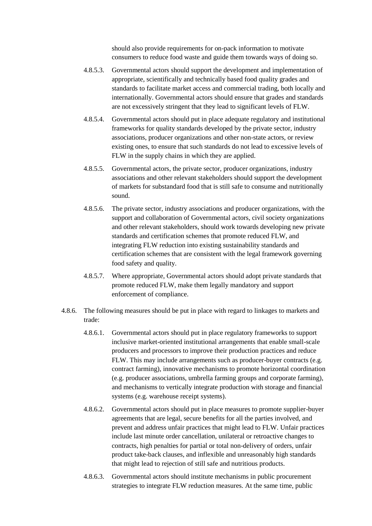should also provide requirements for on-pack information to motivate consumers to reduce food waste and guide them towards ways of doing so.

- 4.8.5.3. Governmental actors should support the development and implementation of appropriate, scientifically and technically based food quality grades and standards to facilitate market access and commercial trading, both locally and internationally. Governmental actors should ensure that grades and standards are not excessively stringent that they lead to significant levels of FLW.
- 4.8.5.4. Governmental actors should put in place adequate regulatory and institutional frameworks for quality standards developed by the private sector, industry associations, producer organizations and other non-state actors, or review existing ones, to ensure that such standards do not lead to excessive levels of FLW in the supply chains in which they are applied.
- 4.8.5.5. Governmental actors, the private sector, producer organizations, industry associations and other relevant stakeholders should support the development of markets for substandard food that is still safe to consume and nutritionally sound.
- 4.8.5.6. The private sector, industry associations and producer organizations, with the support and collaboration of Governmental actors, civil society organizations and other relevant stakeholders, should work towards developing new private standards and certification schemes that promote reduced FLW, and integrating FLW reduction into existing sustainability standards and certification schemes that are consistent with the legal framework governing food safety and quality.
- 4.8.5.7. Where appropriate, Governmental actors should adopt private standards that promote reduced FLW, make them legally mandatory and support enforcement of compliance.
- 4.8.6. The following measures should be put in place with regard to linkages to markets and trade:
	- 4.8.6.1. Governmental actors should put in place regulatory frameworks to support inclusive market-oriented institutional arrangements that enable small-scale producers and processors to improve their production practices and reduce FLW. This may include arrangements such as producer-buyer contracts (e.g. contract farming), innovative mechanisms to promote horizontal coordination (e.g. producer associations, umbrella farming groups and corporate farming), and mechanisms to vertically integrate production with storage and financial systems (e.g. warehouse receipt systems).
	- 4.8.6.2. Governmental actors should put in place measures to promote supplier-buyer agreements that are legal, secure benefits for all the parties involved, and prevent and address unfair practices that might lead to FLW. Unfair practices include last minute order cancellation, unilateral or retroactive changes to contracts, high penalties for partial or total non-delivery of orders, unfair product take-back clauses, and inflexible and unreasonably high standards that might lead to rejection of still safe and nutritious products.
	- 4.8.6.3. Governmental actors should institute mechanisms in public procurement strategies to integrate FLW reduction measures. At the same time, public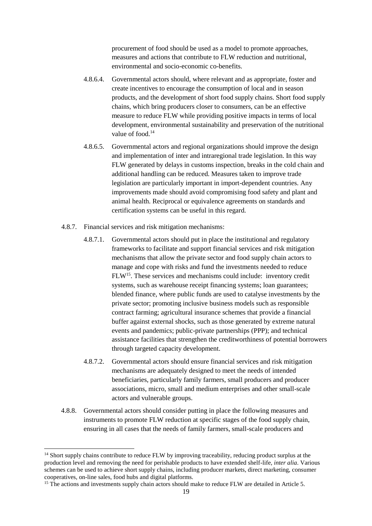procurement of food should be used as a model to promote approaches, measures and actions that contribute to FLW reduction and nutritional, environmental and socio-economic co-benefits.

- 4.8.6.4. Governmental actors should, where relevant and as appropriate, foster and create incentives to encourage the consumption of local and in season products, and the development of short food supply chains. Short food supply chains, which bring producers closer to consumers, can be an effective measure to reduce FLW while providing positive impacts in terms of local development, environmental sustainability and preservation of the nutritional value of food.<sup>14</sup>
- 4.8.6.5. Governmental actors and regional organizations should improve the design and implementation of inter and intraregional trade legislation. In this way FLW generated by delays in customs inspection, breaks in the cold chain and additional handling can be reduced. Measures taken to improve trade legislation are particularly important in import-dependent countries. Any improvements made should avoid compromising food safety and plant and animal health. Reciprocal or equivalence agreements on standards and certification systems can be useful in this regard.
- 4.8.7. Financial services and risk mitigation mechanisms:
	- 4.8.7.1. Governmental actors should put in place the institutional and regulatory frameworks to facilitate and support financial services and risk mitigation mechanisms that allow the private sector and food supply chain actors to manage and cope with risks and fund the investments needed to reduce FLW<sup>15</sup>. These services and mechanisms could include: inventory credit systems, such as warehouse receipt financing systems; loan guarantees; blended finance, where public funds are used to catalyse investments by the private sector; promoting inclusive business models such as responsible contract farming; agricultural insurance schemes that provide a financial buffer against external shocks, such as those generated by extreme natural events and pandemics; public-private partnerships (PPP); and technical assistance facilities that strengthen the creditworthiness of potential borrowers through targeted capacity development.
	- 4.8.7.2. Governmental actors should ensure financial services and risk mitigation mechanisms are adequately designed to meet the needs of intended beneficiaries, particularly family farmers, small producers and producer associations, micro, small and medium enterprises and other small-scale actors and vulnerable groups.
- 4.8.8. Governmental actors should consider putting in place the following measures and instruments to promote FLW reduction at specific stages of the food supply chain, ensuring in all cases that the needs of family farmers, small-scale producers and

 $\overline{a}$ 

<sup>&</sup>lt;sup>14</sup> Short supply chains contribute to reduce FLW by improving traceability, reducing product surplus at the production level and removing the need for perishable products to have extended shelf-life, *inter alia*. Various schemes can be used to achieve short supply chains, including producer markets, direct marketing, consumer cooperatives, on-line sales, food hubs and digital platforms.

<sup>&</sup>lt;sup>15</sup> The actions and investments supply chain actors should make to reduce FLW are detailed in Article 5.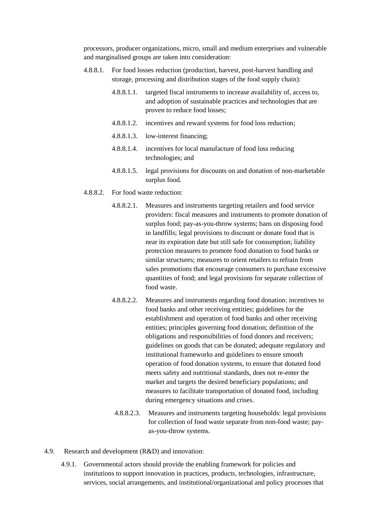processors, producer organizations, micro, small and medium enterprises and vulnerable and marginalised groups are taken into consideration:

- 4.8.8.1. For food losses reduction (production, harvest, post-harvest handling and storage, processing and distribution stages of the food supply chain):
	- 4.8.8.1.1. targeted fiscal instruments to increase availability of, access to, and adoption of sustainable practices and technologies that are proven to reduce food losses;
	- 4.8.8.1.2. incentives and reward systems for food loss reduction;
	- 4.8.8.1.3. low-interest financing;
	- 4.8.8.1.4. incentives for local manufacture of food loss reducing technologies; and
	- 4.8.8.1.5. legal provisions for discounts on and donation of non-marketable surplus food.
- 4.8.8.2. For food waste reduction:
	- 4.8.8.2.1. Measures and instruments targeting retailers and food service providers: fiscal measures and instruments to promote donation of surplus food; pay-as-you-throw systems; bans on disposing food in landfills; legal provisions to discount or donate food that is near its expiration date but still safe for consumption; liability protection measures to promote food donation to food banks or similar structures; measures to orient retailers to refrain from sales promotions that encourage consumers to purchase excessive quantities of food; and legal provisions for separate collection of food waste.
	- 4.8.8.2.2. Measures and instruments regarding food donation: incentives to food banks and other receiving entities; guidelines for the establishment and operation of food banks and other receiving entities; principles governing food donation; definition of the obligations and responsibilities of food donors and receivers; guidelines on goods that can be donated; adequate regulatory and institutional frameworks and guidelines to ensure smooth operation of food donation systems, to ensure that donated food meets safety and nutritional standards, does not re-enter the market and targets the desired beneficiary populations; and measures to facilitate transportation of donated food, including during emergency situations and crises.
	- 4.8.8.2.3. Measures and instruments targeting households: legal provisions for collection of food waste separate from non-food waste; payas-you-throw systems.
- 4.9. Research and development (R&D) and innovation:
	- 4.9.1. Governmental actors should provide the enabling framework for policies and institutions to support innovation in practices, products, technologies, infrastructure, services, social arrangements, and institutional/organizational and policy processes that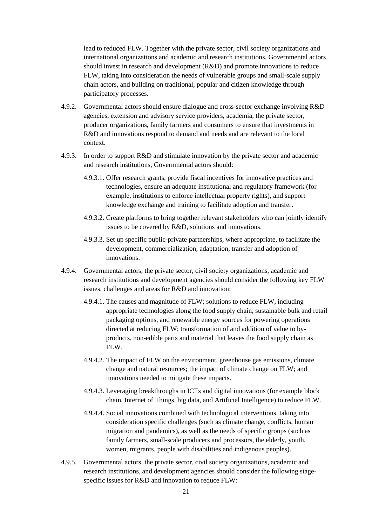lead to reduced FLW. Together with the private sector, civil society organizations and international organizations and academic and research institutions, Governmental actors should invest in research and development (R&D) and promote innovations to reduce FLW, taking into consideration the needs of vulnerable groups and small-scale supply chain actors, and building on traditional, popular and citizen knowledge through participatory processes.

- 4.9.2. Governmental actors should ensure dialogue and cross-sector exchange involving R&D agencies, extension and advisory service providers, academia, the private sector, producer organizations, family farmers and consumers to ensure that investments in R&D and innovations respond to demand and needs and are relevant to the local context.
- 4.9.3. In order to support R&D and stimulate innovation by the private sector and academic and research institutions, Governmental actors should:
	- 4.9.3.1. Offer research grants, provide fiscal incentives for innovative practices and technologies, ensure an adequate institutional and regulatory framework (for example, institutions to enforce intellectual property rights), and support knowledge exchange and training to facilitate adoption and transfer.
	- 4.9.3.2. Create platforms to bring together relevant stakeholders who can jointly identify issues to be covered by R&D, solutions and innovations.
	- 4.9.3.3. Set up specific public-private partnerships, where appropriate, to facilitate the development, commercialization, adaptation, transfer and adoption of innovations.
- 4.9.4. Governmental actors, the private sector, civil society organizations, academic and research institutions and development agencies should consider the following key FLW issues, challenges and areas for R&D and innovation:
	- 4.9.4.1. The causes and magnitude of FLW; solutions to reduce FLW, including appropriate technologies along the food supply chain, sustainable bulk and retail packaging options, and renewable energy sources for powering operations directed at reducing FLW; transformation of and addition of value to byproducts, non-edible parts and material that leaves the food supply chain as FLW.
	- 4.9.4.2. The impact of FLW on the environment, greenhouse gas emissions, climate change and natural resources; the impact of climate change on FLW; and innovations needed to mitigate these impacts.
	- 4.9.4.3. Leveraging breakthroughs in ICTs and digital innovations (for example block chain, Internet of Things, big data, and Artificial Intelligence) to reduce FLW.
	- 4.9.4.4. Social innovations combined with technological interventions, taking into consideration specific challenges (such as climate change, conflicts, human migration and pandemics), as well as the needs of specific groups (such as family farmers, small-scale producers and processors, the elderly, youth, women, migrants, people with disabilities and indigenous peoples).
- 4.9.5. Governmental actors, the private sector, civil society organizations, academic and research institutions, and development agencies should consider the following stagespecific issues for R&D and innovation to reduce FLW: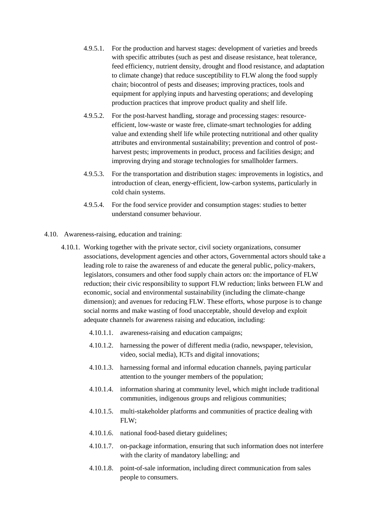- 4.9.5.1. For the production and harvest stages: development of varieties and breeds with specific attributes (such as pest and disease resistance, heat tolerance, feed efficiency, nutrient density, drought and flood resistance, and adaptation to climate change) that reduce susceptibility to FLW along the food supply chain; biocontrol of pests and diseases; improving practices, tools and equipment for applying inputs and harvesting operations; and developing production practices that improve product quality and shelf life.
- 4.9.5.2. For the post-harvest handling, storage and processing stages: resourceefficient, low-waste or waste free, climate-smart technologies for adding value and extending shelf life while protecting nutritional and other quality attributes and environmental sustainability; prevention and control of postharvest pests; improvements in product, process and facilities design; and improving drying and storage technologies for smallholder farmers.
- 4.9.5.3. For the transportation and distribution stages: improvements in logistics, and introduction of clean, energy-efficient, low-carbon systems, particularly in cold chain systems.
- 4.9.5.4. For the food service provider and consumption stages: studies to better understand consumer behaviour.
- 4.10. Awareness-raising, education and training:
	- 4.10.1. Working together with the private sector, civil society organizations, consumer associations, development agencies and other actors, Governmental actors should take a leading role to raise the awareness of and educate the general public, policy-makers, legislators, consumers and other food supply chain actors on: the importance of FLW reduction; their civic responsibility to support FLW reduction; links between FLW and economic, social and environmental sustainability (including the climate-change dimension); and avenues for reducing FLW. These efforts, whose purpose is to change social norms and make wasting of food unacceptable, should develop and exploit adequate channels for awareness raising and education, including:
		- 4.10.1.1. awareness-raising and education campaigns;
		- 4.10.1.2. harnessing the power of different media (radio, newspaper, television, video, social media), ICTs and digital innovations;
		- 4.10.1.3. harnessing formal and informal education channels, paying particular attention to the younger members of the population;
		- 4.10.1.4. information sharing at community level, which might include traditional communities, indigenous groups and religious communities;
		- 4.10.1.5. multi-stakeholder platforms and communities of practice dealing with FLW;
		- 4.10.1.6. national food-based dietary guidelines;
		- 4.10.1.7. on-package information, ensuring that such information does not interfere with the clarity of mandatory labelling; and
		- 4.10.1.8. point-of-sale information, including direct communication from sales people to consumers.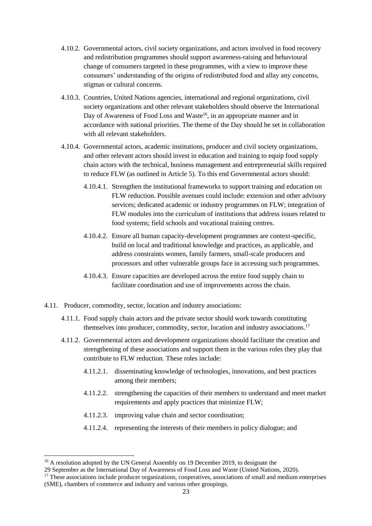- 4.10.2. Governmental actors, civil society organizations, and actors involved in food recovery and redistribution programmes should support awareness-raising and behavioural change of consumers targeted in these programmes, with a view to improve these consumers' understanding of the origins of redistributed food and allay any concerns, stigmas or cultural concerns.
- 4.10.3. Countries, United Nations agencies, international and regional organizations, civil society organizations and other relevant stakeholders should observe the International Day of Awareness of Food Loss and Waste<sup>16</sup>, in an appropriate manner and in accordance with national priorities. The theme of the Day should be set in collaboration with all relevant stakeholders.
- 4.10.4. Governmental actors, academic institutions, producer and civil society organizations, and other relevant actors should invest in education and training to equip food supply chain actors with the technical, business management and entrepreneurial skills required to reduce FLW (as outlined in Article 5). To this end Governmental actors should:
	- 4.10.4.1. Strengthen the institutional frameworks to support training and education on FLW reduction. Possible avenues could include: extension and other advisory services; dedicated academic or industry programmes on FLW; integration of FLW modules into the curriculum of institutions that address issues related to food systems; field schools and vocational training centres.
	- 4.10.4.2. Ensure all human capacity-development programmes are context-specific, build on local and traditional knowledge and practices, as applicable, and address constraints women, family farmers, small-scale producers and processors and other vulnerable groups face in accessing such programmes.
	- 4.10.4.3. Ensure capacities are developed across the entire food supply chain to facilitate coordination and use of improvements across the chain.
- 4.11. Producer, commodity, sector, location and industry associations:
	- 4.11.1. Food supply chain actors and the private sector should work towards constituting themselves into producer, commodity, sector, location and industry associations.<sup>17</sup>
	- 4.11.2. Governmental actors and development organizations should facilitate the creation and strengthening of these associations and support them in the various roles they play that contribute to FLW reduction. These roles include:
		- 4.11.2.1. disseminating knowledge of technologies, innovations, and best practices among their members;
		- 4.11.2.2. strengthening the capacities of their members to understand and meet market requirements and apply practices that minimize FLW;
		- 4.11.2.3. improving value chain and sector coordination;
		- 4.11.2.4. representing the interests of their members in policy dialogue; and

l

<sup>&</sup>lt;sup>16</sup> A resolution adopted by the UN General Assembly on 19 December 2019, to designate the

<sup>29</sup> September as the International Day of Awareness of Food Loss and Waste (United Nations, 2020).

<sup>&</sup>lt;sup>17</sup> These associations include producer organizations, cooperatives, associations of small and medium enterprises (SME), chambers of commerce and industry and various other groupings.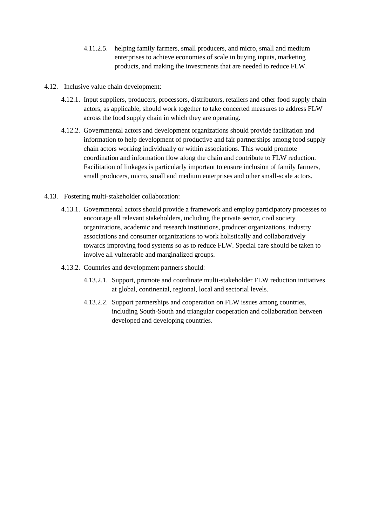- 4.11.2.5. helping family farmers, small producers, and micro, small and medium enterprises to achieve economies of scale in buying inputs, marketing products, and making the investments that are needed to reduce FLW.
- 4.12. Inclusive value chain development:
	- 4.12.1. Input suppliers, producers, processors, distributors, retailers and other food supply chain actors, as applicable, should work together to take concerted measures to address FLW across the food supply chain in which they are operating.
	- 4.12.2. Governmental actors and development organizations should provide facilitation and information to help development of productive and fair partnerships among food supply chain actors working individually or within associations. This would promote coordination and information flow along the chain and contribute to FLW reduction. Facilitation of linkages is particularly important to ensure inclusion of family farmers, small producers, micro, small and medium enterprises and other small-scale actors.
- 4.13. Fostering multi-stakeholder collaboration:
	- 4.13.1. Governmental actors should provide a framework and employ participatory processes to encourage all relevant stakeholders, including the private sector, civil society organizations, academic and research institutions, producer organizations, industry associations and consumer organizations to work holistically and collaboratively towards improving food systems so as to reduce FLW. Special care should be taken to involve all vulnerable and marginalized groups.
	- 4.13.2. Countries and development partners should:
		- 4.13.2.1. Support, promote and coordinate multi-stakeholder FLW reduction initiatives at global, continental, regional, local and sectorial levels.
		- 4.13.2.2. Support partnerships and cooperation on FLW issues among countries, including South-South and triangular cooperation and collaboration between developed and developing countries.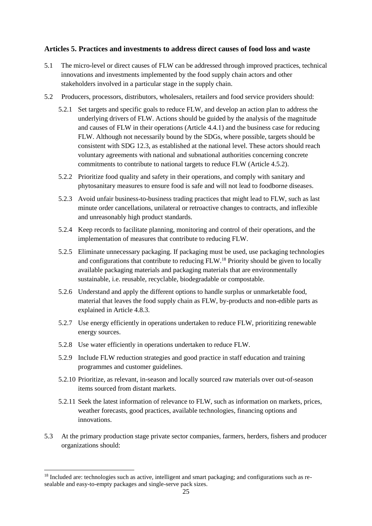## **Articles 5. Practices and investments to address direct causes of food loss and waste**

- 5.1 The micro-level or direct causes of FLW can be addressed through improved practices, technical innovations and investments implemented by the food supply chain actors and other stakeholders involved in a particular stage in the supply chain.
- 5.2 Producers, processors, distributors, wholesalers, retailers and food service providers should:
	- 5.2.1 Set targets and specific goals to reduce FLW, and develop an action plan to address the underlying drivers of FLW. Actions should be guided by the analysis of the magnitude and causes of FLW in their operations (Article 4.4.1) and the business case for reducing FLW. Although not necessarily bound by the SDGs, where possible, targets should be consistent with SDG 12.3, as established at the national level. These actors should reach voluntary agreements with national and subnational authorities concerning concrete commitments to contribute to national targets to reduce FLW (Article 4.5.2).
	- 5.2.2 Prioritize food quality and safety in their operations, and comply with sanitary and phytosanitary measures to ensure food is safe and will not lead to foodborne diseases.
	- 5.2.3 Avoid unfair business-to-business trading practices that might lead to FLW, such as last minute order cancellations, unilateral or retroactive changes to contracts, and inflexible and unreasonably high product standards.
	- 5.2.4 Keep records to facilitate planning, monitoring and control of their operations, and the implementation of measures that contribute to reducing FLW.
	- 5.2.5 Eliminate unnecessary packaging. If packaging must be used, use packaging technologies and configurations that contribute to reducing FLW.<sup>18</sup> Priority should be given to locally available packaging materials and packaging materials that are environmentally sustainable, i.e. reusable, recyclable, biodegradable or compostable.
	- 5.2.6 Understand and apply the different options to handle surplus or unmarketable food, material that leaves the food supply chain as FLW, by-products and non-edible parts as explained in Article 4.8.3.
	- 5.2.7 Use energy efficiently in operations undertaken to reduce FLW, prioritizing renewable energy sources.
	- 5.2.8 Use water efficiently in operations undertaken to reduce FLW.

 $\overline{a}$ 

- 5.2.9 Include FLW reduction strategies and good practice in staff education and training programmes and customer guidelines.
- 5.2.10 Prioritize, as relevant, in-season and locally sourced raw materials over out-of-season items sourced from distant markets.
- 5.2.11 Seek the latest information of relevance to FLW, such as information on markets, prices, weather forecasts, good practices, available technologies, financing options and innovations.
- 5.3 At the primary production stage private sector companies, farmers, herders, fishers and producer organizations should:

<sup>&</sup>lt;sup>18</sup> Included are: technologies such as active, intelligent and smart packaging; and configurations such as resealable and easy-to-empty packages and single-serve pack sizes.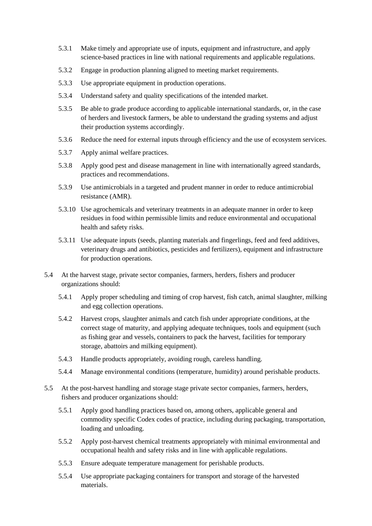- 5.3.1 Make timely and appropriate use of inputs, equipment and infrastructure, and apply science-based practices in line with national requirements and applicable regulations.
- 5.3.2 Engage in production planning aligned to meeting market requirements.
- 5.3.3 Use appropriate equipment in production operations.
- 5.3.4 Understand safety and quality specifications of the intended market.
- 5.3.5 Be able to grade produce according to applicable international standards, or, in the case of herders and livestock farmers, be able to understand the grading systems and adjust their production systems accordingly.
- 5.3.6 Reduce the need for external inputs through efficiency and the use of ecosystem services.
- 5.3.7 Apply animal welfare practices.
- 5.3.8 Apply good pest and disease management in line with internationally agreed standards, practices and recommendations.
- 5.3.9 Use antimicrobials in a targeted and prudent manner in order to reduce antimicrobial resistance (AMR).
- 5.3.10 Use agrochemicals and veterinary treatments in an adequate manner in order to keep residues in food within permissible limits and reduce environmental and occupational health and safety risks.
- 5.3.11 Use adequate inputs (seeds, planting materials and fingerlings, feed and feed additives, veterinary drugs and antibiotics, pesticides and fertilizers), equipment and infrastructure for production operations.
- 5.4 At the harvest stage, private sector companies, farmers, herders, fishers and producer organizations should:
	- 5.4.1 Apply proper scheduling and timing of crop harvest, fish catch, animal slaughter, milking and egg collection operations.
	- 5.4.2 Harvest crops, slaughter animals and catch fish under appropriate conditions, at the correct stage of maturity, and applying adequate techniques, tools and equipment (such as fishing gear and vessels, containers to pack the harvest, facilities for temporary storage, abattoirs and milking equipment).
	- 5.4.3 Handle products appropriately, avoiding rough, careless handling.
	- 5.4.4 Manage environmental conditions (temperature, humidity) around perishable products.
- 5.5 At the post-harvest handling and storage stage private sector companies, farmers, herders, fishers and producer organizations should:
	- 5.5.1 Apply good handling practices based on, among others, applicable general and commodity specific Codex codes of practice, including during packaging, transportation, loading and unloading.
	- 5.5.2 Apply post-harvest chemical treatments appropriately with minimal environmental and occupational health and safety risks and in line with applicable regulations.
	- 5.5.3 Ensure adequate temperature management for perishable products.
	- 5.5.4 Use appropriate packaging containers for transport and storage of the harvested materials.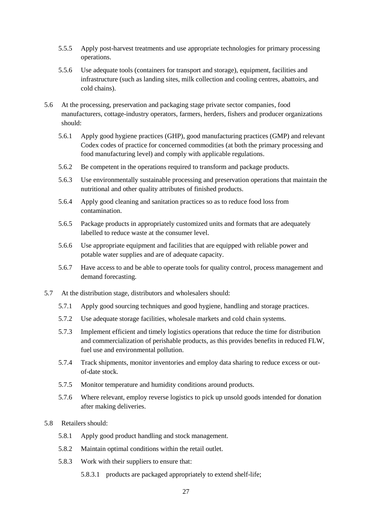- 5.5.5 Apply post-harvest treatments and use appropriate technologies for primary processing operations.
- 5.5.6 Use adequate tools (containers for transport and storage), equipment, facilities and infrastructure (such as landing sites, milk collection and cooling centres, abattoirs, and cold chains).
- 5.6 At the processing, preservation and packaging stage private sector companies, food manufacturers, cottage-industry operators, farmers, herders, fishers and producer organizations should:
	- 5.6.1 Apply good hygiene practices (GHP), good manufacturing practices (GMP) and relevant Codex codes of practice for concerned commodities (at both the primary processing and food manufacturing level) and comply with applicable regulations.
	- 5.6.2 Be competent in the operations required to transform and package products.
	- 5.6.3 Use environmentally sustainable processing and preservation operations that maintain the nutritional and other quality attributes of finished products.
	- 5.6.4 Apply good cleaning and sanitation practices so as to reduce food loss from contamination.
	- 5.6.5 Package products in appropriately customized units and formats that are adequately labelled to reduce waste at the consumer level.
	- 5.6.6 Use appropriate equipment and facilities that are equipped with reliable power and potable water supplies and are of adequate capacity.
	- 5.6.7 Have access to and be able to operate tools for quality control, process management and demand forecasting.
- 5.7 At the distribution stage, distributors and wholesalers should:
	- 5.7.1 Apply good sourcing techniques and good hygiene, handling and storage practices.
	- 5.7.2 Use adequate storage facilities, wholesale markets and cold chain systems.
	- 5.7.3 Implement efficient and timely logistics operations that reduce the time for distribution and commercialization of perishable products, as this provides benefits in reduced FLW, fuel use and environmental pollution.
	- 5.7.4 Track shipments, monitor inventories and employ data sharing to reduce excess or outof-date stock.
	- 5.7.5 Monitor temperature and humidity conditions around products.
	- 5.7.6 Where relevant, employ reverse logistics to pick up unsold goods intended for donation after making deliveries.
- 5.8 Retailers should:
	- 5.8.1 Apply good product handling and stock management.
	- 5.8.2 Maintain optimal conditions within the retail outlet.
	- 5.8.3 Work with their suppliers to ensure that:
		- 5.8.3.1 products are packaged appropriately to extend shelf-life;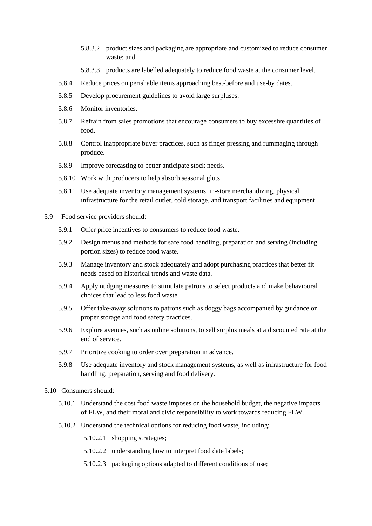- 5.8.3.2 product sizes and packaging are appropriate and customized to reduce consumer waste; and
- 5.8.3.3 products are labelled adequately to reduce food waste at the consumer level.
- 5.8.4 Reduce prices on perishable items approaching best-before and use-by dates.
- 5.8.5 Develop procurement guidelines to avoid large surpluses.
- 5.8.6 Monitor inventories.
- 5.8.7 Refrain from sales promotions that encourage consumers to buy excessive quantities of food.
- 5.8.8 Control inappropriate buyer practices, such as finger pressing and rummaging through produce.
- 5.8.9 Improve forecasting to better anticipate stock needs.
- 5.8.10 Work with producers to help absorb seasonal gluts.
- 5.8.11 Use adequate inventory management systems, in-store merchandizing, physical infrastructure for the retail outlet, cold storage, and transport facilities and equipment.
- 5.9 Food service providers should:
	- 5.9.1 Offer price incentives to consumers to reduce food waste.
	- 5.9.2 Design menus and methods for safe food handling, preparation and serving (including portion sizes) to reduce food waste.
	- 5.9.3 Manage inventory and stock adequately and adopt purchasing practices that better fit needs based on historical trends and waste data.
	- 5.9.4 Apply nudging measures to stimulate patrons to select products and make behavioural choices that lead to less food waste.
	- 5.9.5 Offer take-away solutions to patrons such as doggy bags accompanied by guidance on proper storage and food safety practices.
	- 5.9.6 Explore avenues, such as online solutions, to sell surplus meals at a discounted rate at the end of service.
	- 5.9.7 Prioritize cooking to order over preparation in advance.
	- 5.9.8 Use adequate inventory and stock management systems, as well as infrastructure for food handling, preparation, serving and food delivery.
- 5.10 Consumers should:
	- 5.10.1 Understand the cost food waste imposes on the household budget, the negative impacts of FLW, and their moral and civic responsibility to work towards reducing FLW.
	- 5.10.2 Understand the technical options for reducing food waste, including:
		- 5.10.2.1 shopping strategies;
		- 5.10.2.2 understanding how to interpret food date labels;
		- 5.10.2.3 packaging options adapted to different conditions of use;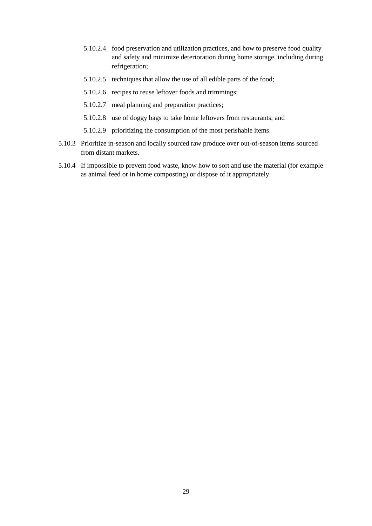- 5.10.2.4 food preservation and utilization practices, and how to preserve food quality and safety and minimize deterioration during home storage, including during refrigeration;
- 5.10.2.5 techniques that allow the use of all edible parts of the food;
- 5.10.2.6 recipes to reuse leftover foods and trimmings;
- 5.10.2.7 meal planning and preparation practices;
- 5.10.2.8 use of doggy bags to take home leftovers from restaurants; and
- 5.10.2.9 prioritizing the consumption of the most perishable items.
- 5.10.3 Prioritize in-season and locally sourced raw produce over out-of-season items sourced from distant markets.
- 5.10.4 If impossible to prevent food waste, know how to sort and use the material (for example as animal feed or in home composting) or dispose of it appropriately.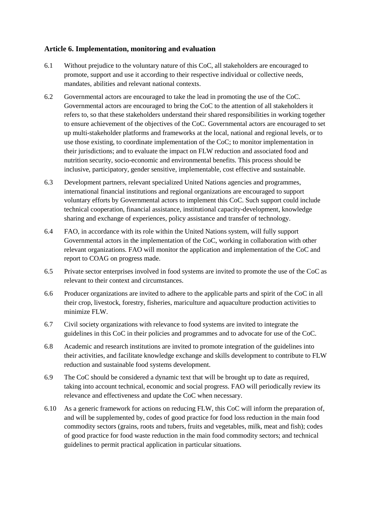## **Article 6. Implementation, monitoring and evaluation**

- 6.1 Without prejudice to the voluntary nature of this CoC, all stakeholders are encouraged to promote, support and use it according to their respective individual or collective needs, mandates, abilities and relevant national contexts.
- 6.2 Governmental actors are encouraged to take the lead in promoting the use of the CoC. Governmental actors are encouraged to bring the CoC to the attention of all stakeholders it refers to, so that these stakeholders understand their shared responsibilities in working together to ensure achievement of the objectives of the CoC. Governmental actors are encouraged to set up multi-stakeholder platforms and frameworks at the local, national and regional levels, or to use those existing, to coordinate implementation of the CoC; to monitor implementation in their jurisdictions; and to evaluate the impact on FLW reduction and associated food and nutrition security, socio-economic and environmental benefits. This process should be inclusive, participatory, gender sensitive, implementable, cost effective and sustainable.
- 6.3 Development partners, relevant specialized United Nations agencies and programmes, international financial institutions and regional organizations are encouraged to support voluntary efforts by Governmental actors to implement this CoC. Such support could include technical cooperation, financial assistance, institutional capacity-development, knowledge sharing and exchange of experiences, policy assistance and transfer of technology.
- 6.4 FAO, in accordance with its role within the United Nations system, will fully support Governmental actors in the implementation of the CoC, working in collaboration with other relevant organizations. FAO will monitor the application and implementation of the CoC and report to COAG on progress made.
- 6.5 Private sector enterprises involved in food systems are invited to promote the use of the CoC as relevant to their context and circumstances.
- 6.6 Producer organizations are invited to adhere to the applicable parts and spirit of the CoC in all their crop, livestock, forestry, fisheries, mariculture and aquaculture production activities to minimize FLW.
- 6.7 Civil society organizations with relevance to food systems are invited to integrate the guidelines in this CoC in their policies and programmes and to advocate for use of the CoC.
- 6.8 Academic and research institutions are invited to promote integration of the guidelines into their activities, and facilitate knowledge exchange and skills development to contribute to FLW reduction and sustainable food systems development.
- 6.9 The CoC should be considered a dynamic text that will be brought up to date as required, taking into account technical, economic and social progress. FAO will periodically review its relevance and effectiveness and update the CoC when necessary.
- 6.10 As a generic framework for actions on reducing FLW, this CoC will inform the preparation of, and will be supplemented by, codes of good practice for food loss reduction in the main food commodity sectors (grains, roots and tubers, fruits and vegetables, milk, meat and fish); codes of good practice for food waste reduction in the main food commodity sectors; and technical guidelines to permit practical application in particular situations.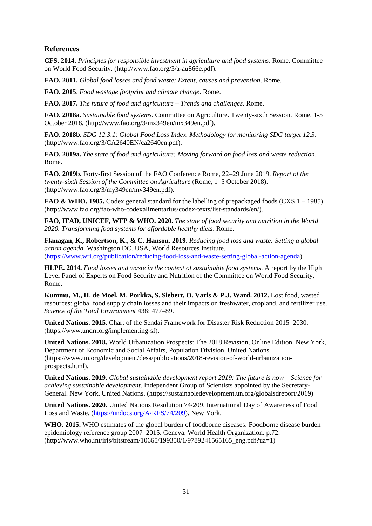#### **References**

**CFS. 2014.** *Principles for responsible investment in agriculture and food systems*. Rome. Committee on World Food Security. (http://www.fao.org/3/a-au866e.pdf).

**FAO. 2011.** *Global food losses and food waste: Extent, causes and prevention*. Rome.

**FAO. 2015**. *Food wastage footprint and climate change*. Rome.

**FAO. 2017.** *The future of food and agriculture – Trends and challenges*. Rome.

**FAO. 2018a.** *Sustainable food systems*. Committee on Agriculture. Twenty-sixth Session. Rome, 1-5 October 2018. (http://www.fao.org/3/mx349en/mx349en.pdf).

**FAO. 2018b.** *SDG 12.3.1: Global Food Loss Index. Methodology for monitoring SDG target 12.3*. (http://www.fao.org/3/CA2640EN/ca2640en.pdf).

**FAO. 2019a.** *The state of food and agriculture: Moving forward on food loss and waste reduction*. Rome.

**FAO. 2019b.** Forty-first Session of the FAO Conference Rome, 22–29 June 2019. *Report of the twenty-sixth Session of the Committee on Agriculture* (Rome, 1–5 October 2018). (http://www.fao.org/3/my349en/my349en.pdf).

**FAO & WHO. 1985.** Codex general standard for the labelling of prepackaged foods (CXS 1 – 1985) (http://www.fao.org/fao-who-codexalimentarius/codex-texts/list-standards/en/).

**FAO, IFAD, UNICEF, WFP & WHO. 2020.** *The state of food security and nutrition in the World 2020. Transforming food systems for affordable healthy diets*. Rome.

**Flanagan, K., Robertson, K., & C. Hanson. 2019.** *Reducing food loss and waste: Setting a global action agenda*. Washington DC. USA, World Resources Institute. [\(https://www.wri.org/publication/reducing-food-loss-and-waste-setting-global-action-agenda\)](https://www.wri.org/publication/reducing-food-loss-and-waste-setting-global-action-agenda)

**HLPE. 2014.** *Food losses and waste in the context of sustainable food systems*. A report by the High Level Panel of Experts on Food Security and Nutrition of the Committee on World Food Security, Rome.

**Kummu, M., H. de Moel, M. Porkka, S. Siebert, O. Varis & P.J. Ward. 2012.** Lost food, wasted resources: global food supply chain losses and their impacts on freshwater, cropland, and fertilizer use. *Science of the Total Environment* 438: 477–89.

**United Nations. 2015.** Chart of the Sendai Framework for Disaster Risk Reduction 2015–2030. (https://www.undrr.org/implementing-sf).

**United Nations. 2018.** World Urbanization Prospects: The 2018 Revision, Online Edition. New York, Department of Economic and Social Affairs, Population Division, United Nations. (https://www.un.org/development/desa/publications/2018-revision-of-world-urbanizationprospects.html).

**United Nations. 2019.** *Global sustainable development report 2019: The future is now – Science for achieving sustainable development*. Independent Group of Scientists appointed by the Secretary-General. New York, United Nations. (https://sustainabledevelopment.un.org/globalsdreport/2019)

**United Nations. 2020.** United Nations Resolution 74/209. International Day of Awareness of Food Loss and Waste. [\(https://undocs.org/A/RES/74/209\)](https://undocs.org/A/RES/74/209). New York.

**WHO. 2015.** WHO estimates of the global burden of foodborne diseases: Foodborne disease burden epidemiology reference group 2007–2015. Geneva, World Health Organization. p.72: (http://www.who.int/iris/bitstream/10665/199350/1/9789241565165\_eng.pdf?ua=1)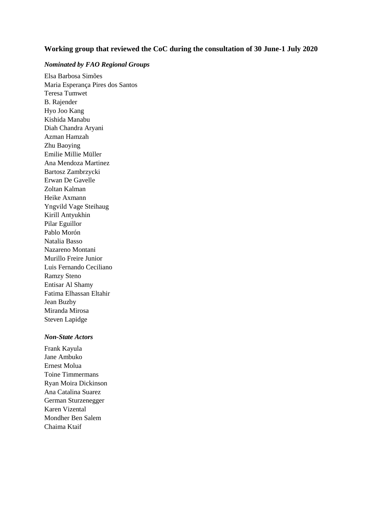#### **Working group that reviewed the CoC during the consultation of 30 June-1 July 2020**

#### *Nominated by FAO Regional Groups*

Elsa Barbosa Simões Maria Esperança Pires dos Santos Teresa Tumwet B. Rajender Hyo Joo Kang Kishida Manabu Diah Chandra Aryani Azman Hamzah Zhu Baoying Emilie Millie Müller Ana Mendoza Martinez Bartosz Zambrzycki Erwan De Gavelle Zoltan Kalman Heike Axmann Yngvild Vage Steihaug Kirill Antyukhin Pilar Eguillor Pablo Morón Natalia Basso Nazareno Montani Murillo Freire Junior Luis Fernando Ceciliano Ramzy Steno Entisar Al Shamy Fatima Elhassan Eltahir Jean Buzby Miranda Mirosa Steven Lapidge

#### *Non-State Actors*

Frank Kayula Jane Ambuko Ernest Molua Toine Timmermans Ryan Moira Dickinson Ana Catalina Suarez German Sturzenegger Karen Vizental Mondher Ben Salem Chaima Ktaif